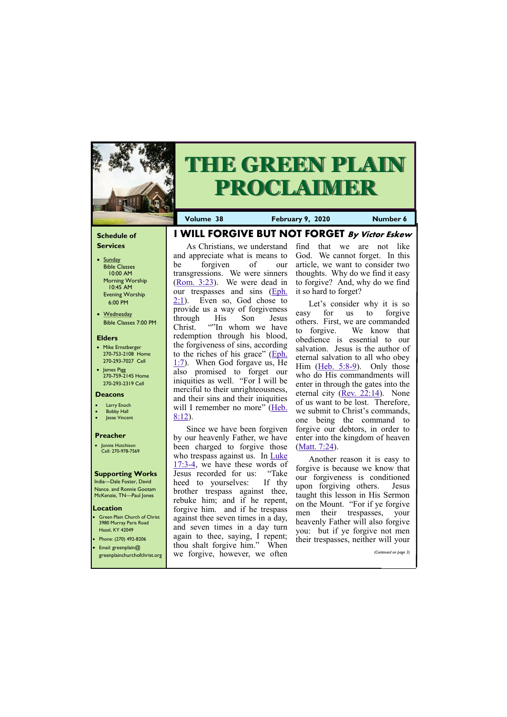## **Schedule of Services**

- Sunday Bible Classes 10:00 AM Morning Worship 10:45 AM Evening Worship 6:00 PM
- Wednesday Bible Classes 7:00 PM

### **Elders**

**Green Plain Church of Christ** 3980 Murray Paris Road Hazel, KY 42049 • Phone: (270) 492-8206

- Mike Ernstberger 270-753-2108 Home 270-293-7027 Cell
- James Pigg 270-759-2145 Home 270-293-2319 Cell

#### **Location**



# **THE GREEN PLAIN PROCLAIMER**

[2:1\).](https://biblia.com/bible/kjv1900/Eph.%202.1) Even so, God chose to provide us a way of forgiveness through His Son Jesus Christ. ""In whom we have redemption through his blood, the forgiveness of sins, according to the riches of his grace" ([Eph.](https://biblia.com/bible/kjv1900/Eph.%201.7)  [1:7\).](https://biblia.com/bible/kjv1900/Eph.%201.7) When God forgave us, He also promised to forget our iniquities as well. "For I will be merciful to their unrighteousness, and their sins and their iniquities will I remember no more" (Heb.

#### **Deacons**

- **Larry Enoch**
- **Bobby Hall**
- **Jesse Vincent**

#### **Preacher**

• Jonnie Hutchison Cell: 270-978-7569

#### **Supporting Works**

India—Dale Foster, David Nance. and Ronnie Gootam McKenzie, TN—Paul Jones

**I WILL FORGIVE BUT NOT FORGET By Victor Eskew**

[8:12\).](https://biblia.com/bible/kjv1900/Heb.%208.12)

As Christians, we understand and appreciate what is means to be forgiven of our transgressions. We were sinners ([Rom. 3:23\)](https://biblia.com/bible/kjv1900/Rom.%203.23). We were dead in our trespasses and sins ([Eph.](https://biblia.com/bible/kjv1900/Eph.%202.1)  find that we are not like God. We cannot forget. In this article, we want to consider two thoughts. Why do we find it easy to forgive? And, why do we find it so hard to forget?

Since we have been forgiven by our heavenly Father, we have been charged to forgive those who trespass against us. In Luke [17:3](https://biblia.com/bible/kjv1900/Luke%2017.3-4)-4, we have these words of Jesus recorded for us: "Take heed to yourselves: If thy brother trespass against thee, rebuke him; and if he repent, forgive him. and if he trespass against thee seven times in a day, and seven times in a day turn again to thee, saying, I repent;

**Volume 38 February 9, 2020 Number 6** 

| • Email: greenplain $@$<br>greenplainchurchofchrist.org | When<br>thou shalt forgive him."<br>we forgive, however, we often | then trespasses, herther will your<br>(Continued on page 3) |
|---------------------------------------------------------|-------------------------------------------------------------------|-------------------------------------------------------------|
|                                                         |                                                                   |                                                             |

Let's consider why it is so easy for us to forgive others. First, we are commanded to forgive. We know that obedience is essential to our salvation. Jesus is the author of eternal salvation to all who obey Him [\(Heb. 5:8](https://biblia.com/bible/kjv1900/Heb.%205.8-9)-9). Only those who do His commandments will enter in through the gates into the eternal city ([Rev. 22:14\).](https://biblia.com/bible/kjv1900/Rev.%2022.14) None of us want to be lost. Therefore, we submit to Christ's commands, one being the command to forgive our debtors, in order to enter into the kingdom of heaven ([Matt. 7:24\)](https://biblia.com/bible/kjv1900/Matt.%207.24).

Another reason it is easy to forgive is because we know that our forgiveness is conditioned upon forgiving others. Jesus taught this lesson in His Sermon on the Mount. "For if ye forgive men their trespasses, your heavenly Father will also forgive you: but if ye forgive not men their trespasses, neither will your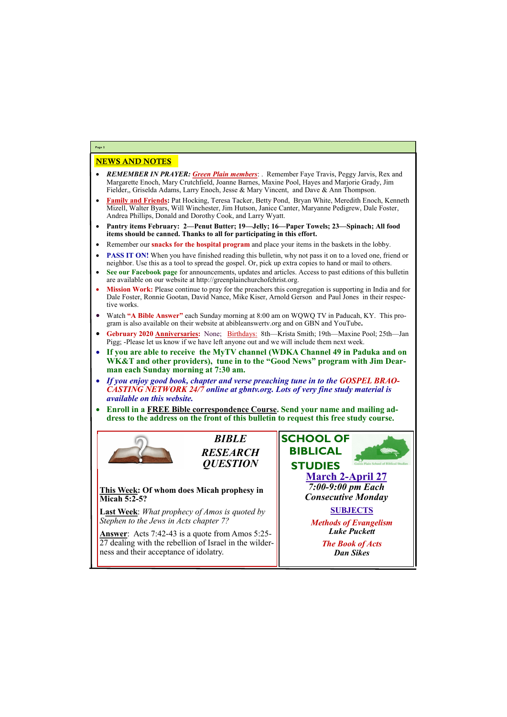# NEWS AND NOTES

- *REMEMBER IN PRAYER: Green Plain members*: . Remember Faye Travis, Peggy Jarvis, Rex and Margarette Enoch, Mary Crutchfield, Joanne Barnes, Maxine Pool, Hayes and Marjorie Grady, Jim Fielder,, Griselda Adams, Larry Enoch, Jesse & Mary Vincent, and Dave & Ann Thompson.
- **Family and Friends:** Pat Hocking, Teresa Tacker, Betty Pond, Bryan White, Meredith Enoch, Kenneth Mizell, Walter Byars, Will Winchester, Jim Hutson, Janice Canter, Maryanne Pedigrew, Dale Foster, Andrea Phillips, Donald and Dorothy Cook, and Larry Wyatt.
- **Pantry items February: 2—Penut Butter; 19—Jelly; 16—Paper Towels; 23—Spinach; All food items should be canned. Thanks to all for participating in this effort.**
- Remember our **snacks for the hospital program** and place your items in the baskets in the lobby.
- **PASS IT ON!** When you have finished reading this bulletin, why not pass it on to a loved one, friend or neighbor. Use this as a tool to spread the gospel. Or, pick up extra copies to hand or mail to others.
- **See our Facebook page** for announcements, updates and articles. Access to past editions of this bulletin are available on our website at http://greenplainchurchofchrist.org.
- **Mission Work:** Please continue to pray for the preachers this congregation is supporting in India and for Dale Foster, Ronnie Gootan, David Nance, Mike Kiser, Arnold Gerson and Paul Jones in their respective works.
- Watch **"A Bible Answer"** each Sunday morning at 8:00 am on WQWQ TV in Paducah, KY. This program is also available on their website at abibleanswertv.org and on GBN and YouTube**.**
- **Gebruary 2020 Anniversaries:** None; Birthdays: 8th—Krista Smith; 19th—Maxine Pool; 25th—Jan Pigg; -Please let us know if we have left anyone out and we will include them next week.
- **If you are able to receive the MyTV channel (WDKA Channel 49 in Paduka and on WK&T and other providers), tune in to the "Good News" program with Jim Dearman each Sunday morning at 7:30 am.**
- *If you enjoy good book, chapter and verse preaching tune in to the GOSPEL BRAO-CASTING NETWORK 24/7 online at gbntv.org. Lots of very fine study material is available on this website.*
- **Enroll in a FREE Bible correspondence Course. Send your name and mailing address to the address on the front of this bulletin to request this free study course.**



**Page 2**

*BIBLE RESEARCH QUESTION*

**This Week: Of whom does Micah prophesy in Micah 5:2-5?**

**Last Week**: *What prophecy of Amos is quoted by Stephen to the Jews in Acts chapter 7?*

**Answer**: Acts 7:42-43 is a quote from Amos 5:25- 27 dealing with the rebellion of Israel in the wilderness and their acceptance of idolatry.



*The Book of Acts Dan Sikes*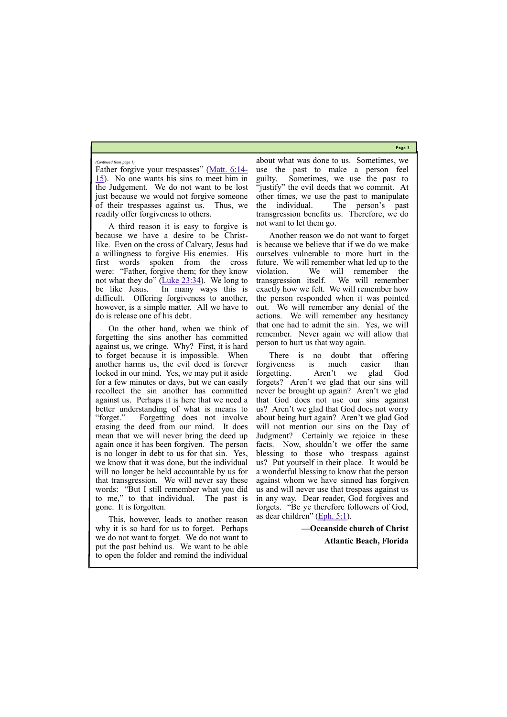**Page 3**

Father forgive your trespasses" ([Matt. 6:14](https://biblia.com/bible/kjv1900/Matt.%206.14-15)- [15\).](https://biblia.com/bible/kjv1900/Matt.%206.14-15) No one wants his sins to meet him in the Judgement. We do not want to be lost just because we would not forgive someone of their trespasses against us. Thus, we readily offer forgiveness to others.

A third reason it is easy to forgive is because we have a desire to be Christlike. Even on the cross of Calvary, Jesus had a willingness to forgive His enemies. His first words spoken from the cross were: "Father, forgive them; for they know not what they do" (Luke  $23:34$ ). We long to be like Jesus. In many ways this is difficult. Offering forgiveness to another, however, is a simple matter. All we have to do is release one of his debt.

On the other hand, when we think of forgetting the sins another has committed against us, we cringe. Why? First, it is hard to forget because it is impossible. When another harms us, the evil deed is forever locked in our mind. Yes, we may put it aside for a few minutes or days, but we can easily recollect the sin another has committed against us. Perhaps it is here that we need a better understanding of what is means to "forget." Forgetting does not involve erasing the deed from our mind. It does mean that we will never bring the deed up again once it has been forgiven. The person is no longer in debt to us for that sin. Yes, we know that it was done, but the individual will no longer be held accountable by us for that transgression. We will never say these words: "But I still remember what you did to me," to that individual. The past is gone. It is forgotten.

There is no doubt that offering forgiveness is much easier than forgetting. Aren't we glad God forgets? Aren't we glad that our sins will never be brought up again? Aren't we glad that God does not use our sins against us? Aren't we glad that God does not worry about being hurt again? Aren't we glad God will not mention our sins on the Day of Judgment? Certainly we rejoice in these facts. Now, shouldn't we offer the same blessing to those who trespass against us? Put yourself in their place. It would be a wonderful blessing to know that the person against whom we have sinned has forgiven us and will never use that trespass against us in any way. Dear reader, God forgives and forgets. "Be ye therefore followers of God, as dear children" ([Eph. 5:1\).](https://biblia.com/bible/kjv1900/Eph.%205.1)

This, however, leads to another reason why it is so hard for us to forget. Perhaps we do not want to forget. We do not want to put the past behind us. We want to be able to open the folder and remind the individual

about what was done to us. Sometimes, we use the past to make a person feel guilty. Sometimes, we use the past to "justify" the evil deeds that we commit. At other times, we use the past to manipulate the individual. The person's past transgression benefits us. Therefore, we do not want to let them go.

Another reason we do not want to forget is because we believe that if we do we make ourselves vulnerable to more hurt in the future. We will remember what led up to the violation. We will remember the transgression itself. We will remember exactly how we felt. We will remember how the person responded when it was pointed out. We will remember any denial of the actions. We will remember any hesitancy that one had to admit the sin. Yes, we will remember. Never again we will allow that person to hurt us that way again.

**—Oceanside church of Christ** 

**Atlantic Beach, Florida**

#### *(Continued from page 1)*